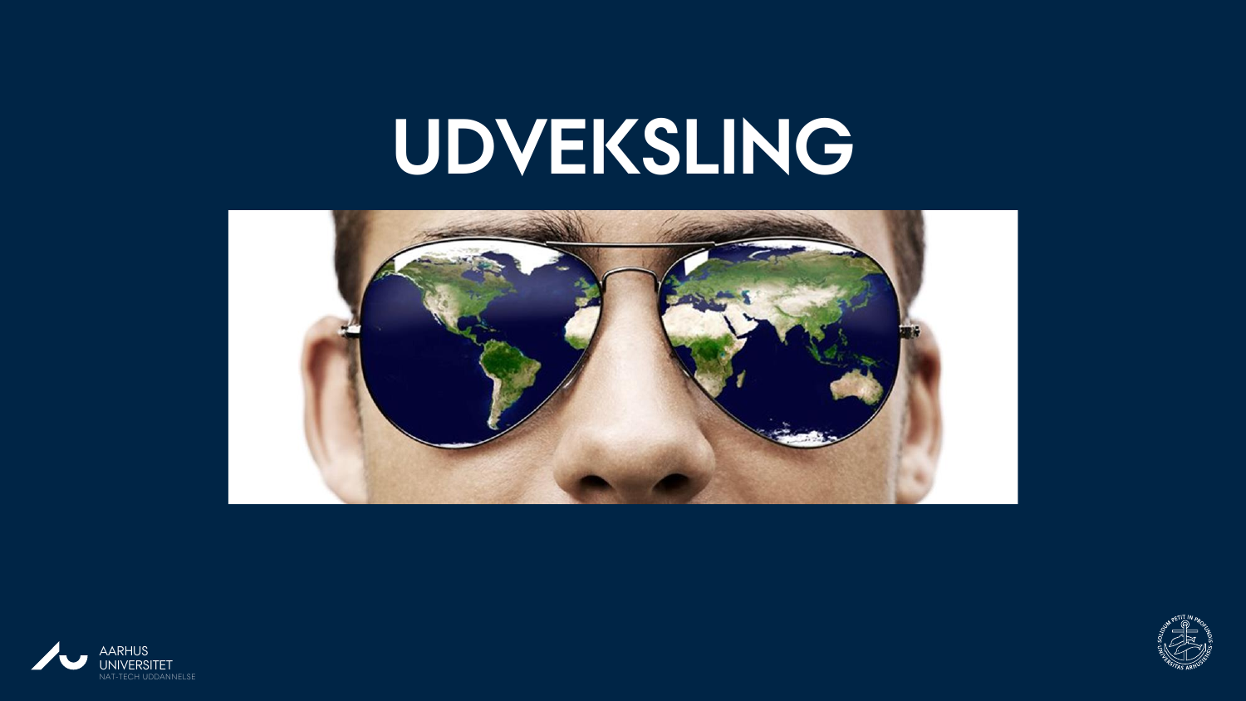# **UDVEKSLING**





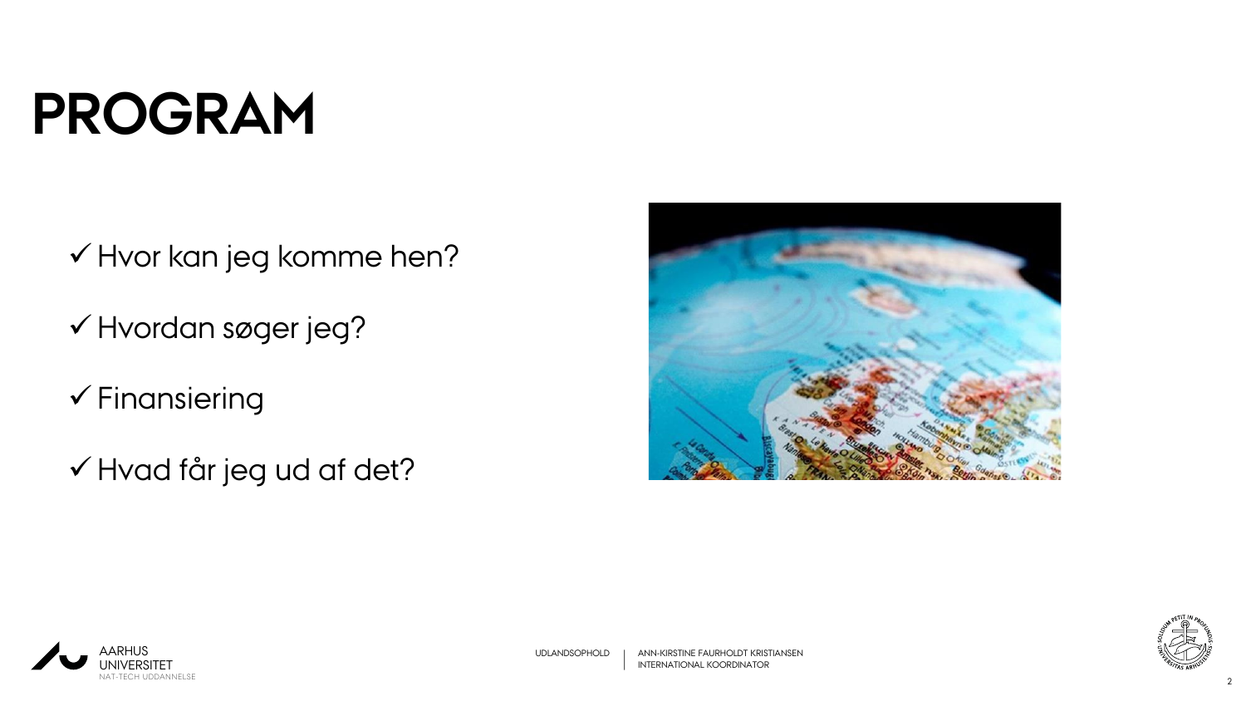# **PROGRAM**

- Hvor kan jeg komme hen?
- Hvordan søger jeg?
- $\checkmark$  Finansiering
- Hvad får jeg ud af det?



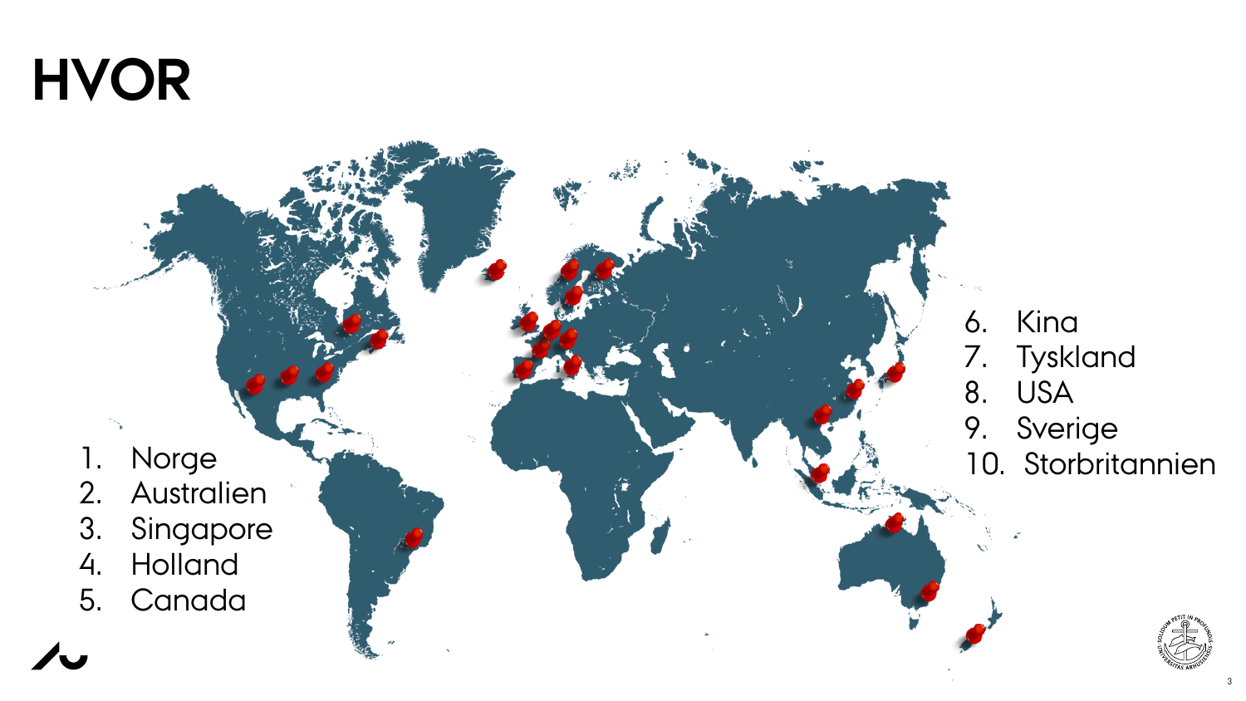## **HVOR**

- 1. Norge
- 2. Australien
- 3. Singapore
- 4. Holland
- 5. Canada

6. Kina 7. Tyskland 8. USA 9. Sverige 10. Storbritannien

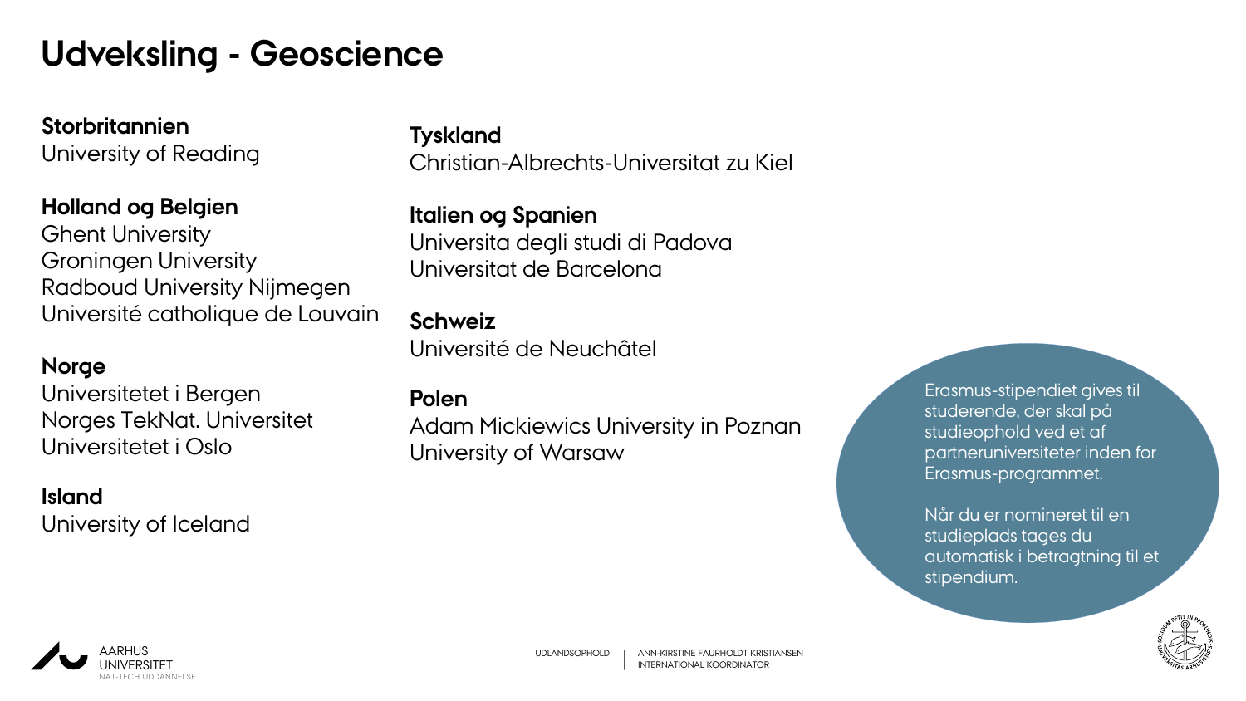### **Udveksling - Geoscience**

**Storbritannien** University of Reading

#### **Holland og Belgien**

Ghent University Groningen University Radboud University Nijmegen Université catholique de Louvain

#### **Norge**

Universitetet i Bergen Norges TekNat. Universitet Universitetet i Oslo

**Island** University of Iceland

#### **Tyskland**

Christian-Albrechts-Universitat zu Kiel

**Italien og Spanien** Universita degli studi di Padova Universitat de Barcelona

#### **Schweiz**

Université de Neuchâtel

#### **Polen**

Adam Mickiewics University in Poznan University of Warsaw

Erasmus-stipendiet gives til studerende, der skal på studieophold ved et af partneruniversiteter inden for Erasmus-programmet.

Når du er nomineret til en studieplads tages du automatisk i betragtning til et stipendium.



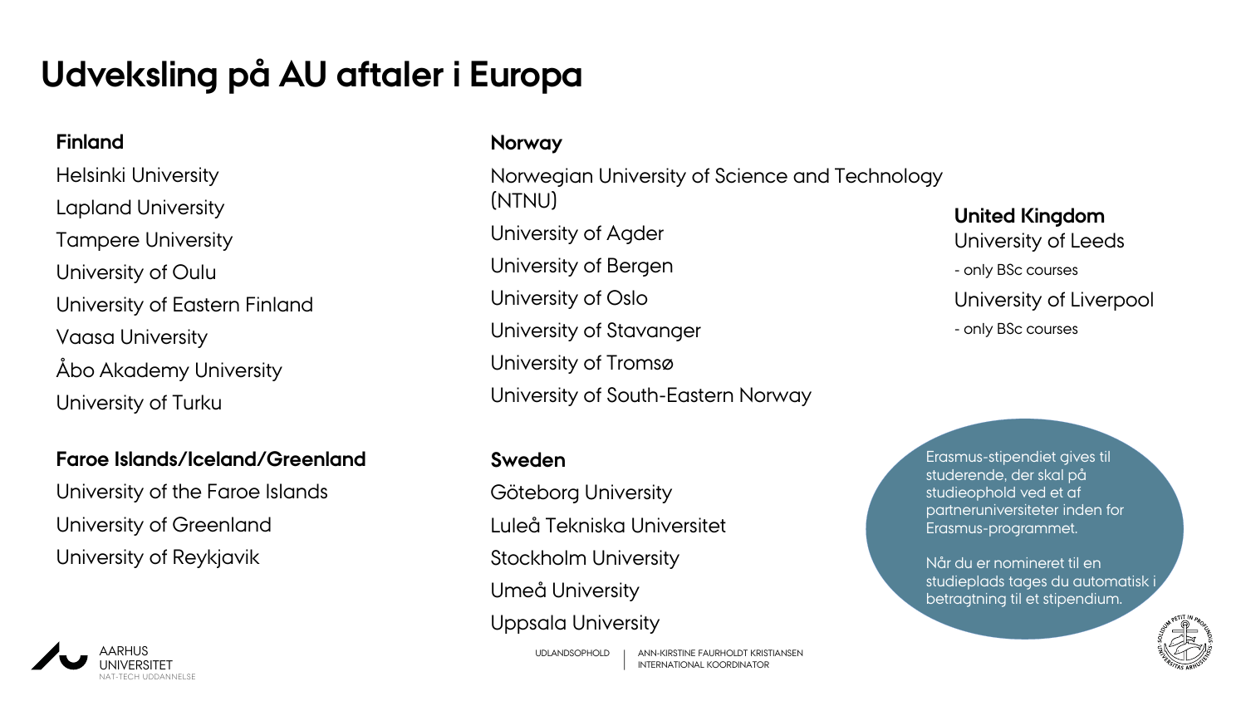### **Udveksling på AU aftaler i Europa**

#### **Finland**

Helsinki University Lapland University Tampere University University of Oulu University of Eastern Finland Vaasa University Åbo Akademy University University of Turku

#### **Faroe Islands/Iceland/Greenland**

University of the Faroe Islands University of Greenland University of Reykjavik



#### **Norway**

Norwegian University of Science and Technology (NTNU) University of Agder University of Bergen University of Oslo University of Stavanger University of Tromsø University of South-Eastern Norway

#### **Sweden**

Göteborg University Luleå Tekniska Universitet Stockholm University Umeå University Uppsala University

**United Kingdom** University of Leeds - only BSc courses University of Liverpool - only BSc courses

Erasmus-stipendiet gives til studerende, der skal på studieophold ved et af partneruniversiteter inden for Erasmus-programmet.

Når du er nomineret til en studieplads tages du automatisk i betragtning til et stipendium.

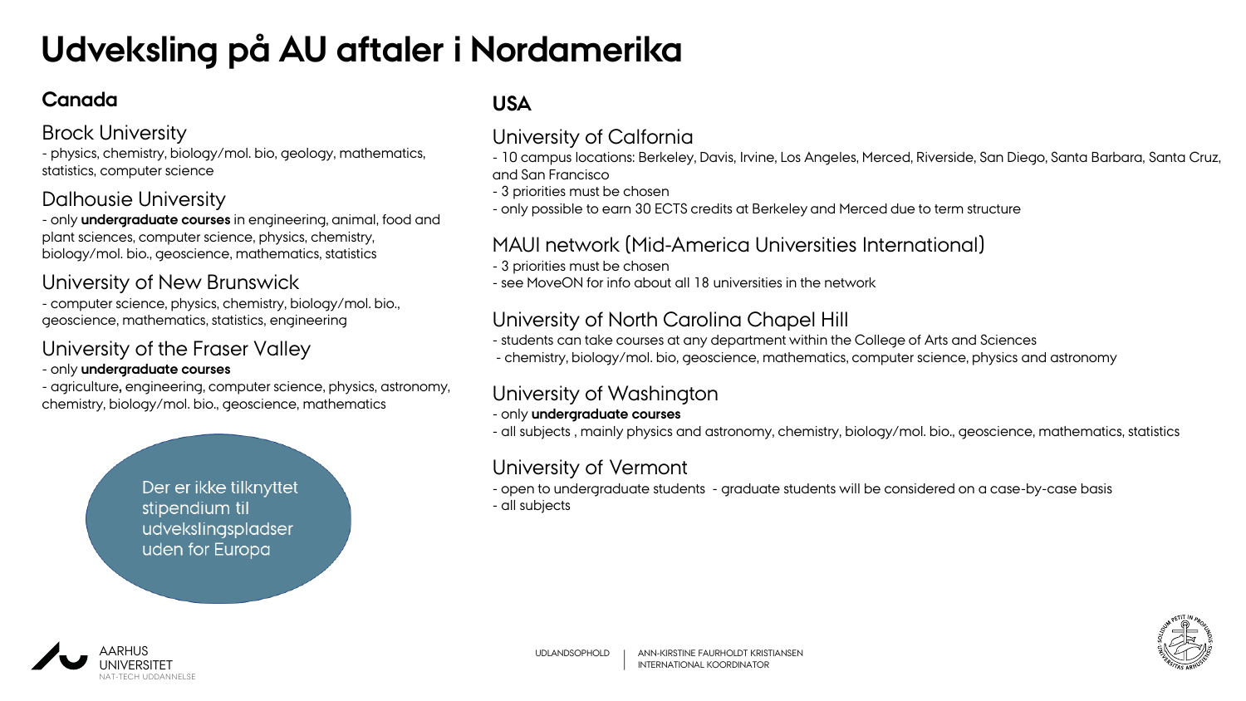### **Udveksling på AU aftaler i Nordamerika**

#### **Canada**

#### Brock University

- physics, chemistry, biology/mol. bio, geology, mathematics, statistics, computer science

#### Dalhousie University

- only **undergraduate courses** in engineering, animal, food and plant sciences, computer science, physics, chemistry, biology/mol. bio., geoscience, mathematics, statistics

#### University of New Brunswick

- computer science, physics, chemistry, biology/mol. bio., geoscience, mathematics, statistics, engineering

#### University of the Fraser Valley

#### - only **undergraduate courses**

- agriculture**,** engineering, computer science, physics, astronomy, chemistry, biology/mol. bio., geoscience, mathematics

> Der er ikke tilknyttet stipendium til udvekslingspladser uden for Europa

#### **USA**

#### University of Calfornia

- 10 campus locations: Berkeley, Davis, Irvine, Los Angeles, Merced, Riverside, San Diego, Santa Barbara, Santa Cruz, and San Francisco

- 3 priorities must be chosen
- only possible to earn 30 ECTS credits at Berkeley and Merced due to term structure

#### MAUI network (Mid-America Universities International)

- 3 priorities must be chosen
- see MoveON for info about all 18 universities in the network

#### University of North Carolina Chapel Hill

- students can take courses at any department within the College of Arts and Sciences
- chemistry, biology/mol. bio, geoscience, mathematics, computer science, physics and astronomy

#### University of Washington

- only **undergraduate courses**
- all subjects , mainly physics and astronomy, chemistry, biology/mol. bio., geoscience, mathematics, statistics

#### University of Vermont

- open to undergraduate students - graduate students will be considered on a case-by-case basis - all subjects



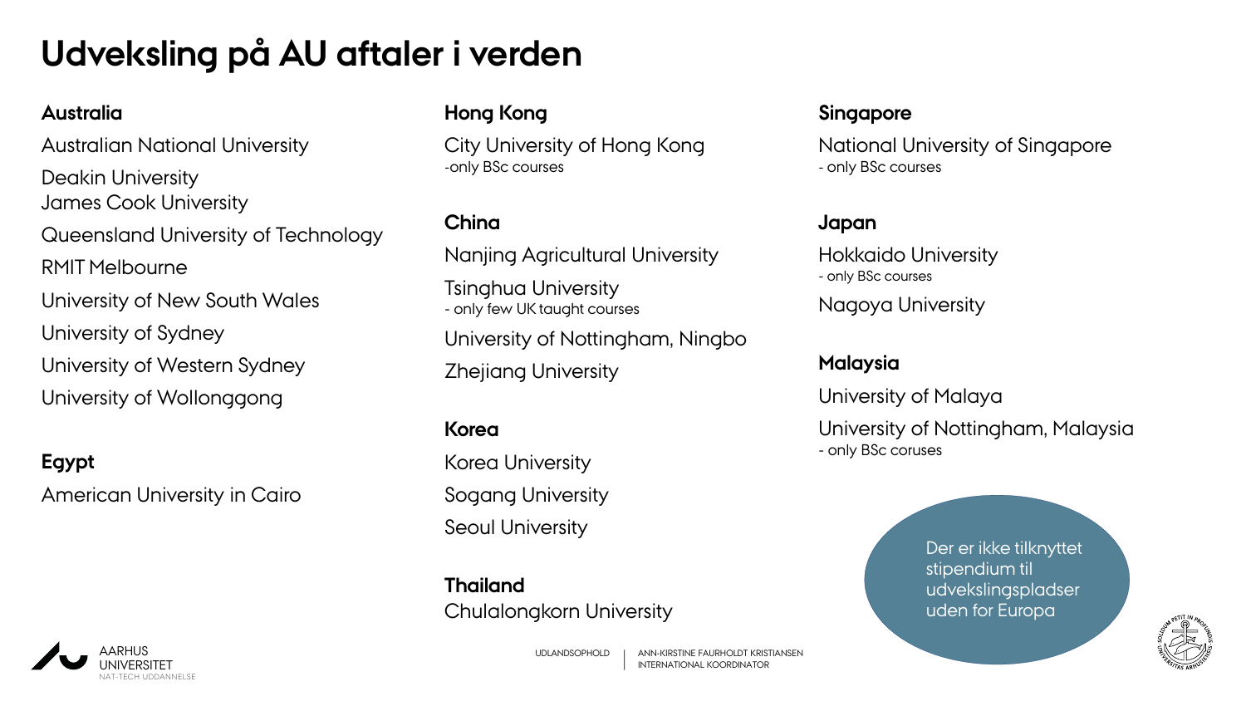### **Udveksling på AU aftaler i verden**

#### **Australia**

Australian National University Deakin University James Cook University Queensland University of Technology RMIT Melbourne University of New South Wales University of Sydney University of Western Sydney University of Wollonggong

#### **Egypt**

American University in Cairo

#### **Hong Kong**

City University of Hong Kong -only BSc courses

#### **China**

Nanjing Agricultural University Tsinghua University - only few UK taught courses University of Nottingham, Ningbo Zhejiang University

#### **Korea**

Korea University Sogang University Seoul University

**Thailand** Chulalongkorn University

#### **Singapore**

National University of Singapore - only BSc courses

#### **Japan**

Hokkaido University - only BSc courses

Nagoya University

#### **Malaysia**

University of Malaya

University of Nottingham, Malaysia - only BSc coruses

> Der er ikke tilknyttet stipendium til udvekslingspladser uden for Europa



UDLANDSOPHOLD ANN-KIRSTINE FAURHOLDT KRISTIANSEN INTERNATIONAL KOORDINATOR

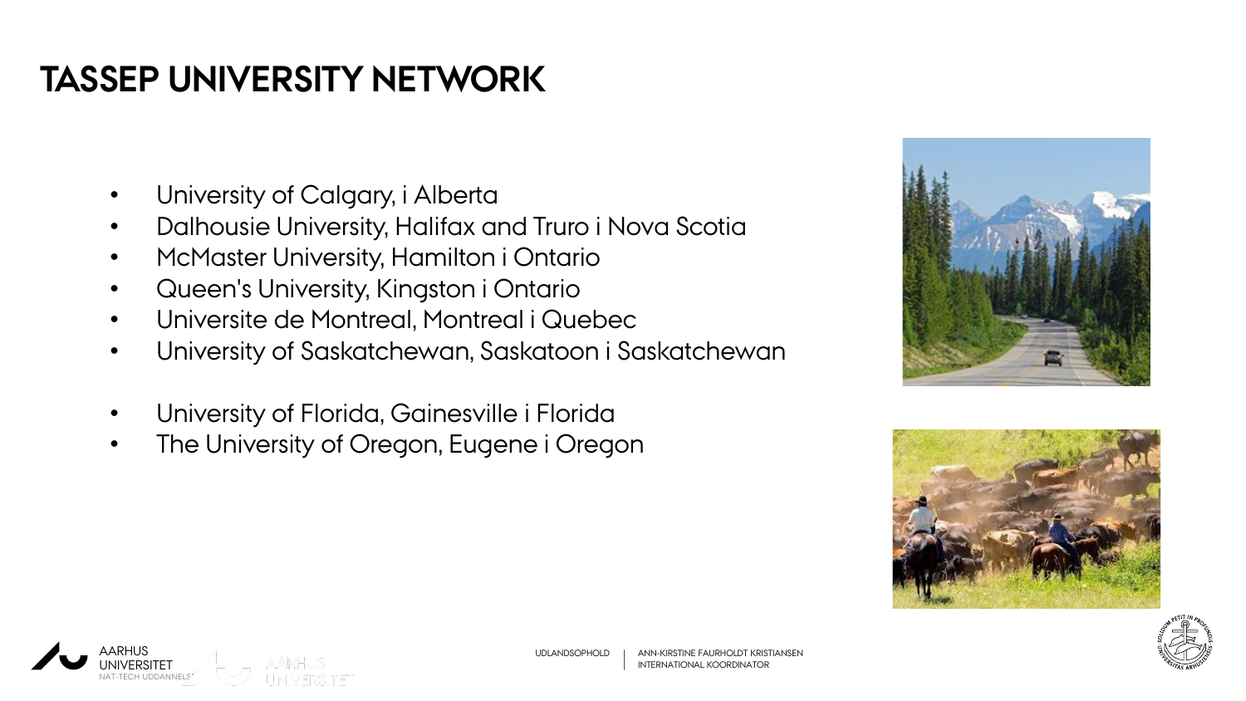### **TASSEP UNIVERSITY NETWORK**

- University of Calgary, i Alberta
- Dalhousie University, Halifax and Truro i Nova Scotia
- McMaster University, Hamilton i Ontario
- Queen's University, Kingston i Ontario
- Universite de Montreal, Montreal i Quebec
- University of Saskatchewan, Saskatoon i Saskatchewan
- University of Florida, Gainesville i Florida
- The University of Oregon, Eugene i Oregon







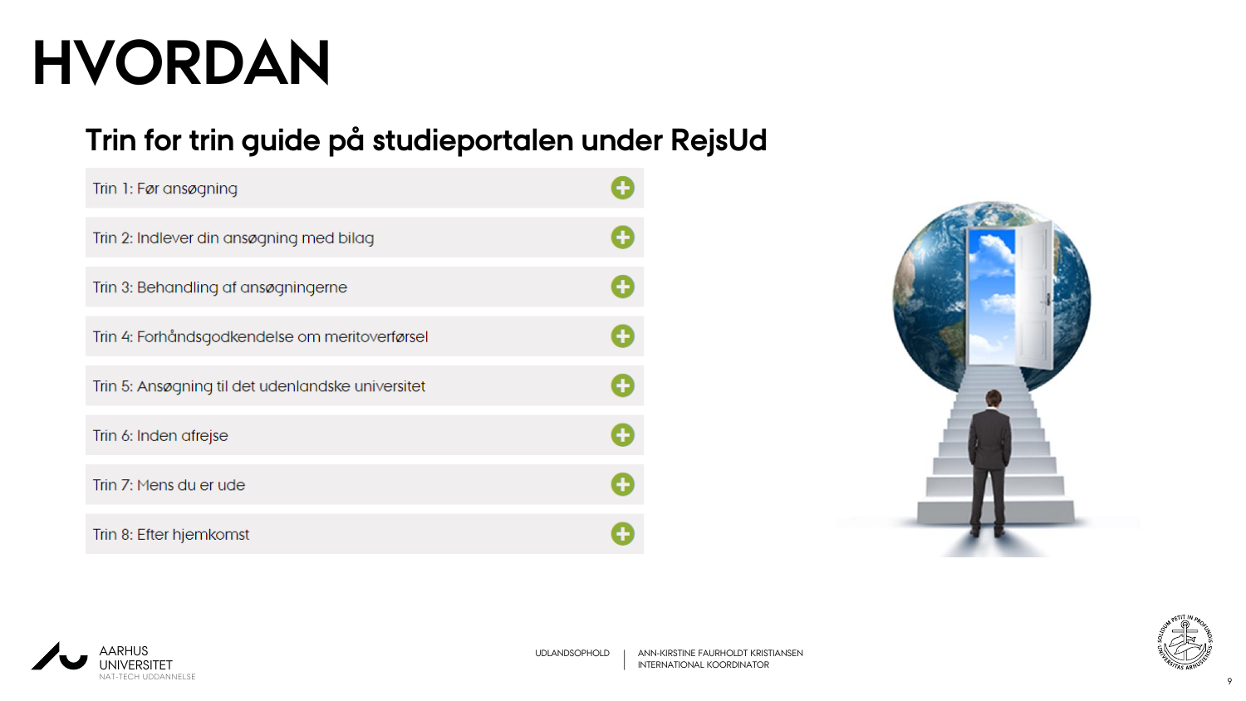# **HVORDAN**

#### **Trin for trin guide på studieportalen under RejsUd**

| Trin 1: Før ansøgning                             |  |
|---------------------------------------------------|--|
| Trin 2: Indlever din ansøgning med bilag          |  |
| Trin 3: Behandling af ansøgningerne               |  |
| Trin 4: Forhåndsgodkendelse om meritoverførsel    |  |
| Trin 5: Ansøgning til det udenlandske universitet |  |
| Trin 6: Inden afrejse                             |  |
| Trin 7: Mens du er ude                            |  |
| Trin 8: Efter hjemkomst                           |  |





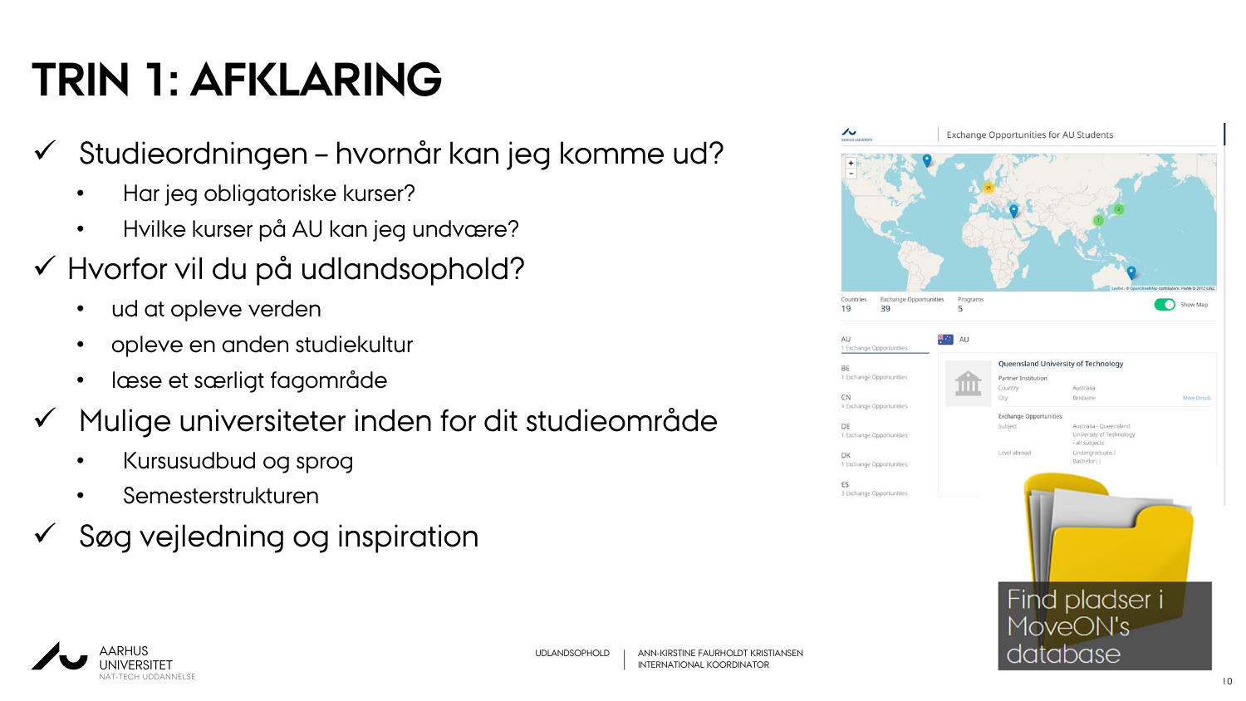### **TRIN 1: AFKLARING**

- Studieordningen hvornår kan jeg komme ud?
	- Har jeg obligatoriske kurser?
	- Hvilke kurser på AU kan jeg undvære?
- Hvorfor vil du på udlandsophold?
	- ud at opleve verden
	- opleve en anden studiekultur
	- læse et særligt fagområde
- $\checkmark$  Mulige universiteter inden for dit studieområde
	- Kursusudbud og sprog
	- Semesterstrukturen
- Søg vejledning og inspiration

| <b>ARHUS UNIVERSITY</b><br>4                                            |                     |                                                                               |                                                                                                     |                                              |
|-------------------------------------------------------------------------|---------------------|-------------------------------------------------------------------------------|-----------------------------------------------------------------------------------------------------|----------------------------------------------|
| <b>Exchange Opportunities</b><br>Countries<br>19<br>39<br>AU            | Programs<br>5<br>AU |                                                                               |                                                                                                     | contributors. Points @ 2012 LINZ<br>Show Map |
| 1 Exchange Opportunities<br><b>BE</b><br>1 Exchange Opportunities<br>CN |                     | Queensland University of Technology<br>Partner Institution<br>Country<br>City | Australia<br>Brisbane                                                                               | More Details                                 |
| 4 Exchange Opportunities<br>DE<br>1 Exchange Opportunities<br>DK        |                     | <b>Exchange Opportunities</b><br>Subject<br>Level abroad                      | Australia - Queensland<br>University of Technology<br>- all subjects<br>Undergraduate /<br>Bachelor |                                              |
| 1 Exchange Opportunities<br>ES<br>3 Exchange Opportunities              |                     |                                                                               |                                                                                                     |                                              |
|                                                                         |                     |                                                                               |                                                                                                     |                                              |
|                                                                         |                     | database                                                                      | Find pladser i<br>MoveON's                                                                          |                                              |

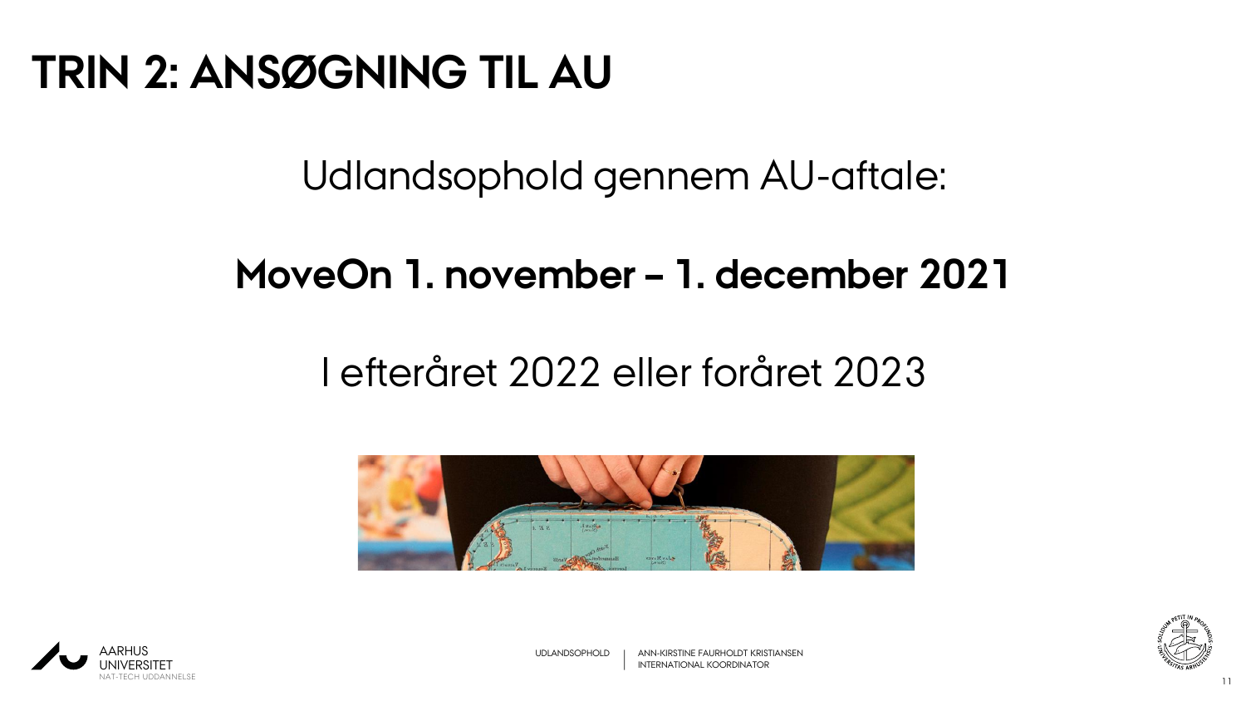### **TRIN 2: ANSØGNING TIL AU**

Udlandsophold gennem AU-aftale:

### **MoveOn 1. november – 1. december 2021**

### I efteråret 2022 eller foråret 2023







UDLANDSOPHOLD ANN-KIRSTINE FAURHOLDT KRISTIANSEN INTERNATIONAL KOORDINATOR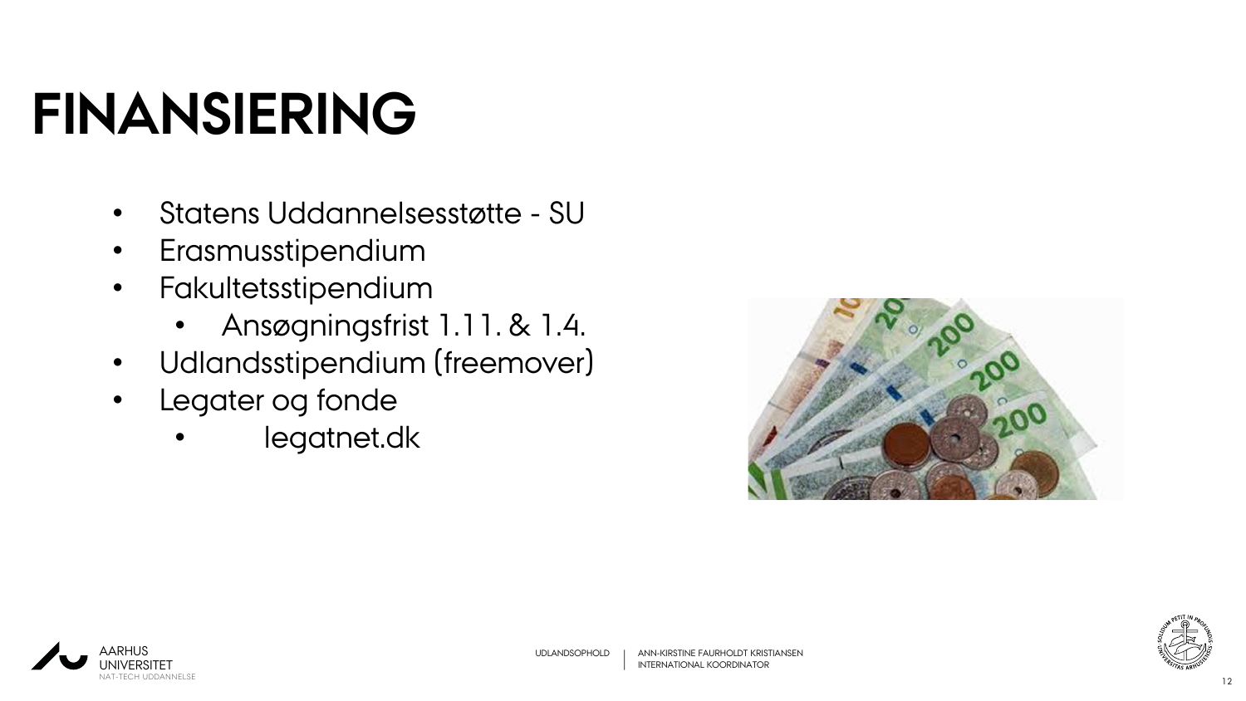# **FINANSIERING**

- Statens Uddannelsesstøtte SU
- Erasmusstipendium
- Fakultetsstipendium
	- Ansøgningsfrist 1.11. & 1.4.
- Udlandsstipendium (freemover)
- Legater og fonde
	- legatnet.dk





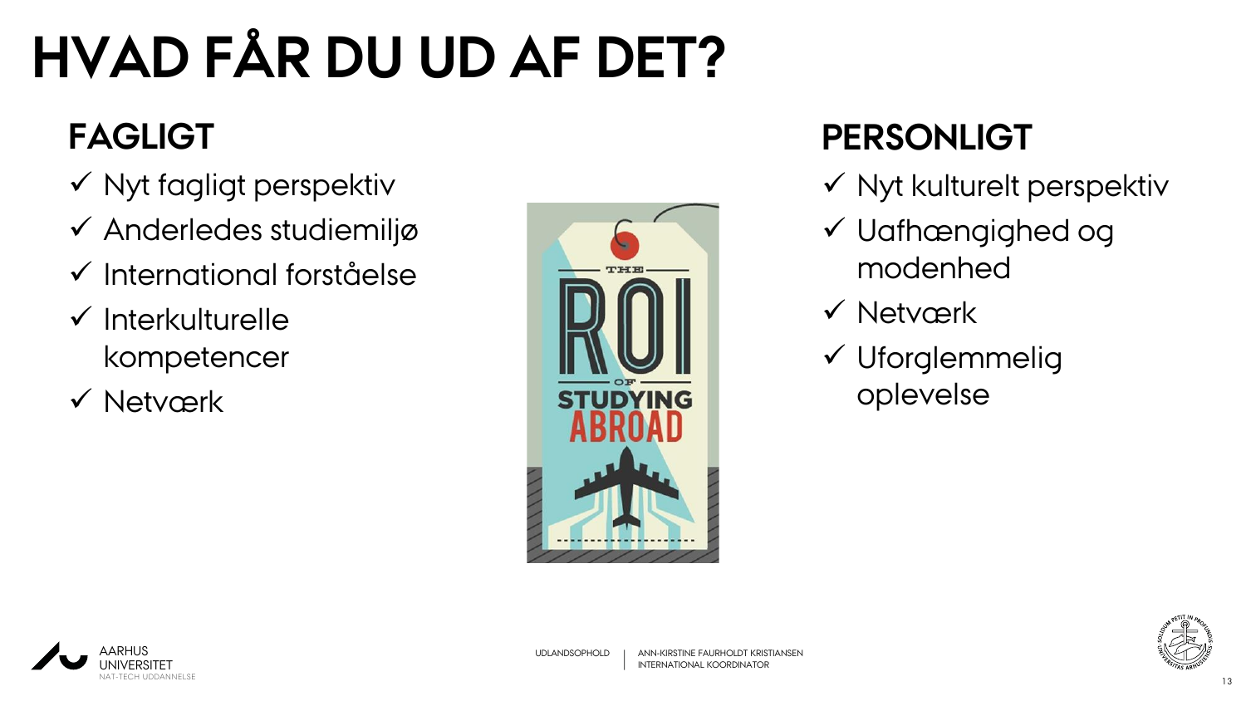# **HVAD FÅR DU UD AF DET?**

### **FAGLIGT**

- $\checkmark$  Nyt fagligt perspektiv
- Anderledes studiemiljø
- $\checkmark$  International forståelse
- $\checkmark$  Interkulturelle kompetencer
- **√ Netværk**



### **PERSONLIGT**

- $\checkmark$  Nyt kulturelt perspektiv
- Uafhængighed og modenhed
- **√ Netværk**
- Uforglemmelig oplevelse



13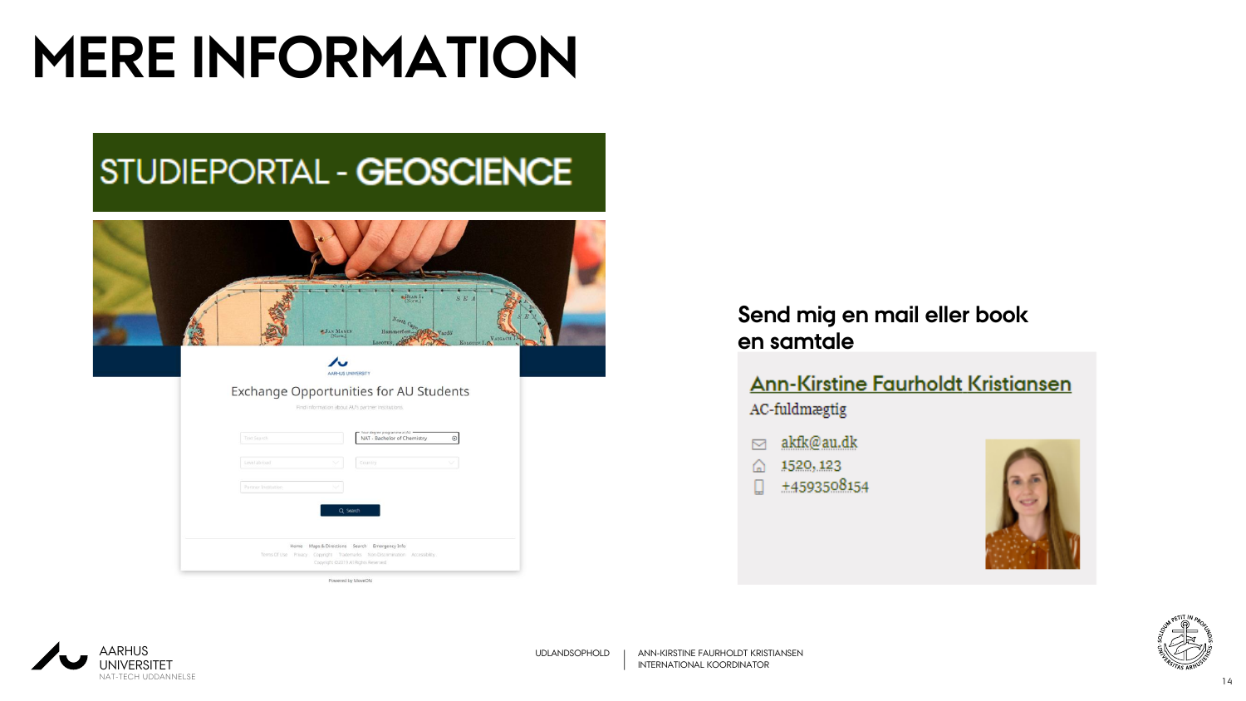# **MERE INFORMATION**

### STUDIEPORTAL - GEOSCIENCE

|                                                       | S L   A<br>$-1$                                                                                          | $\frac{\text{Bear I.}}{\text{(Norm.)}}$                                     | S. E. A      |           |  |
|-------------------------------------------------------|----------------------------------------------------------------------------------------------------------|-----------------------------------------------------------------------------|--------------|-----------|--|
|                                                       | JAN MAYEN                                                                                                | North Cape (ME) Vardo<br>Hammerfest <sub>-to</sub><br>LOFOTEN, O            | KOLGUEV I.A  | VAIGACH I |  |
| Exchange Opportunities for AU Students<br>Text Search | <b>AARHUS UNIVERSITY</b><br>Find information about AU's partner institutions.                            | Your degree programme at AU -<br>NAT - Bachelor of Chemistry                | $^\circledR$ |           |  |
| Level abroad                                          |                                                                                                          | Country                                                                     | v            |           |  |
| Partner Institution                                   | Q Search                                                                                                 |                                                                             |              |           |  |
|                                                       | Home Maps & Directions Search Emergency Info<br>Copyright @2019 All Rights Reserved<br>Powered by MoveON | Terms Of Use Privacy. Copyright Trademarks Non-Discrimination Accessibility |              |           |  |

#### **Send mig en mail eller book en samtale**

#### **Ann-Kirstine Faurholdt Kristiansen** AC-fuldmægtig

- akfk@au.dk  $\triangleright$
- 1520, 123 ⋒
- +4593508154 п







UDLANDSOPHOLD | ANN-KIRSTINE FAURHOLDT KRISTIANSEN INTERNATIONAL KOORDINATOR